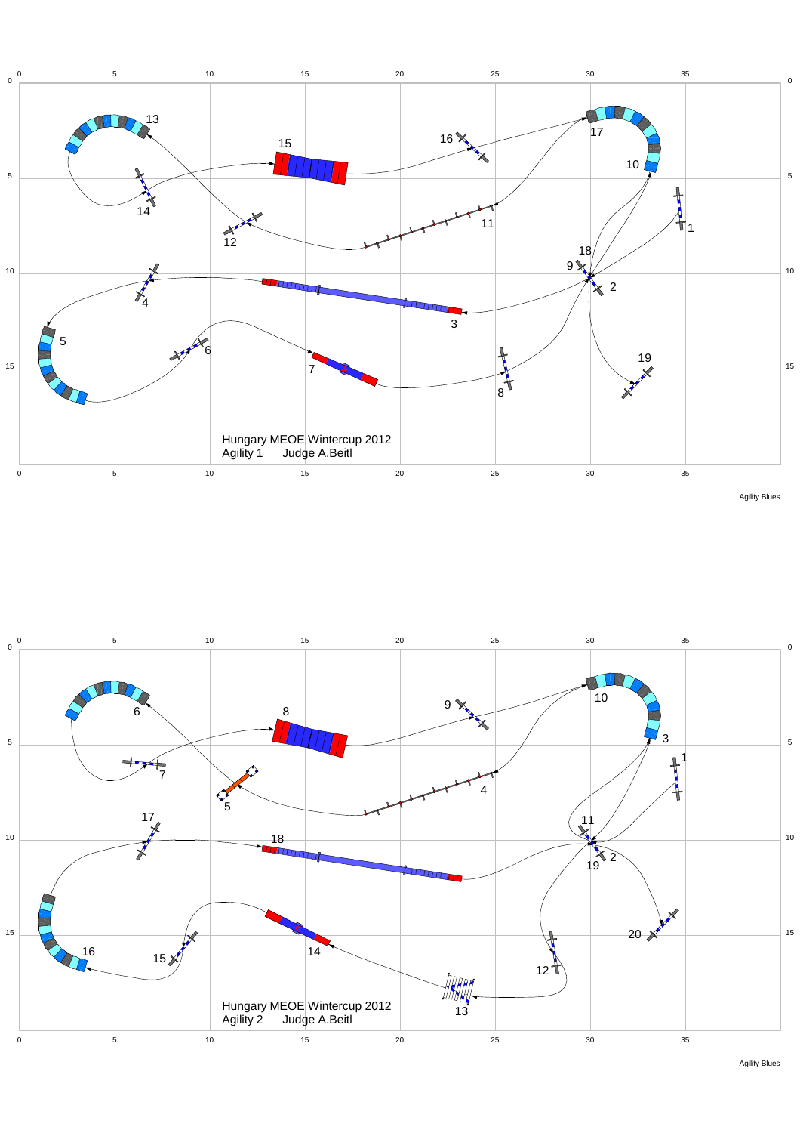





Agility Blues